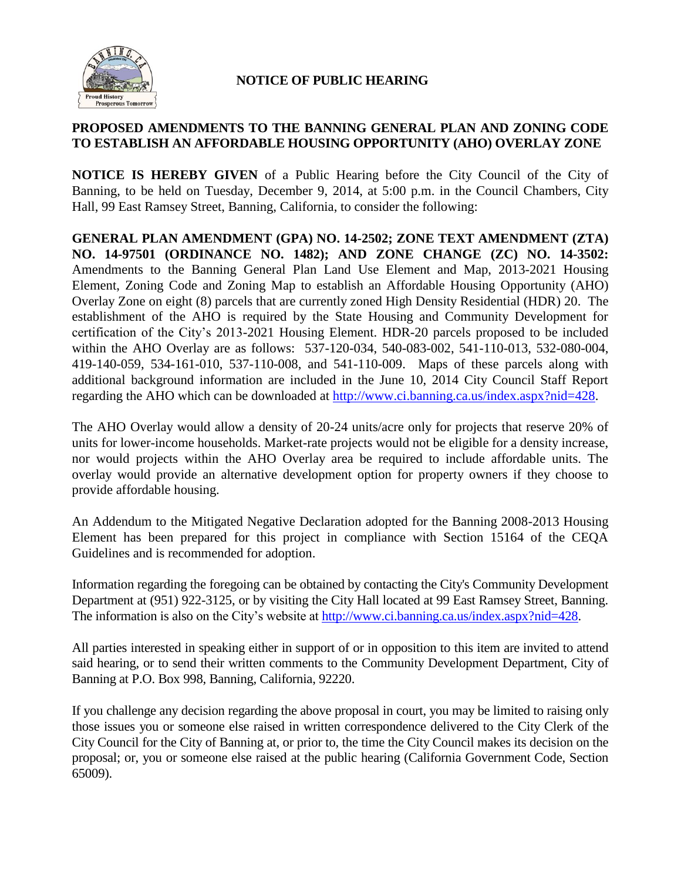

## **NOTICE OF PUBLIC HEARING**

## **PROPOSED AMENDMENTS TO THE BANNING GENERAL PLAN AND ZONING CODE TO ESTABLISH AN AFFORDABLE HOUSING OPPORTUNITY (AHO) OVERLAY ZONE**

**NOTICE IS HEREBY GIVEN** of a Public Hearing before the City Council of the City of Banning, to be held on Tuesday, December 9, 2014, at 5:00 p.m. in the Council Chambers, City Hall, 99 East Ramsey Street, Banning, California, to consider the following:

**GENERAL PLAN AMENDMENT (GPA) NO. 14-2502; ZONE TEXT AMENDMENT (ZTA) NO. 14-97501 (ORDINANCE NO. 1482); AND ZONE CHANGE (ZC) NO. 14-3502:** Amendments to the Banning General Plan Land Use Element and Map, 2013-2021 Housing Element, Zoning Code and Zoning Map to establish an Affordable Housing Opportunity (AHO) Overlay Zone on eight (8) parcels that are currently zoned High Density Residential (HDR) 20. The establishment of the AHO is required by the State Housing and Community Development for certification of the City's 2013-2021 Housing Element. HDR-20 parcels proposed to be included within the AHO Overlay are as follows: 537-120-034, 540-083-002, 541-110-013, 532-080-004, 419-140-059, 534-161-010, 537-110-008, and 541-110-009. Maps of these parcels along with additional background information are included in the June 10, 2014 City Council Staff Report regarding the AHO which can be downloaded at [http://www.ci.banning.ca.us/index.aspx?nid=428.](http://www.ci.banning.ca.us/index.aspx?nid=428)

The AHO Overlay would allow a density of 20-24 units/acre only for projects that reserve 20% of units for lower-income households. Market-rate projects would not be eligible for a density increase, nor would projects within the AHO Overlay area be required to include affordable units. The overlay would provide an alternative development option for property owners if they choose to provide affordable housing.

An Addendum to the Mitigated Negative Declaration adopted for the Banning 2008-2013 Housing Element has been prepared for this project in compliance with Section 15164 of the CEQA Guidelines and is recommended for adoption.

Information regarding the foregoing can be obtained by contacting the City's Community Development Department at (951) 922-3125, or by visiting the City Hall located at 99 East Ramsey Street, Banning. The information is also on the City's website at [http://www.ci.banning.ca.us/index.aspx?nid=428.](http://www.ci.banning.ca.us/index.aspx?nid=428)

All parties interested in speaking either in support of or in opposition to this item are invited to attend said hearing, or to send their written comments to the Community Development Department, City of Banning at P.O. Box 998, Banning, California, 92220.

If you challenge any decision regarding the above proposal in court, you may be limited to raising only those issues you or someone else raised in written correspondence delivered to the City Clerk of the City Council for the City of Banning at, or prior to, the time the City Council makes its decision on the proposal; or, you or someone else raised at the public hearing (California Government Code, Section 65009).